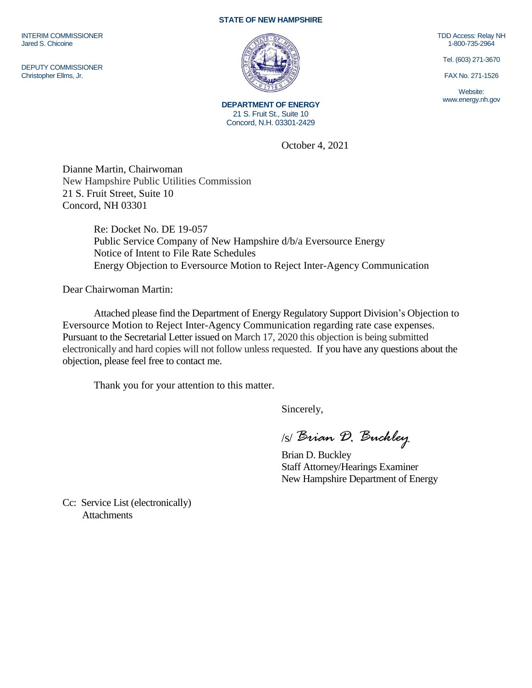INTERIM COMMISSIONER Jared S. Chicoine

DEPUTY COMMISSIONER Christopher Ellms, Jr.

## **STATE OF NEW HAMPSHIRE**



**DEPARTMENT OF ENERGY** 21 S. Fruit St., Suite 10 Concord, N.H. 03301-2429

October 4, 2021

Dianne Martin, Chairwoman New Hampshire Public Utilities Commission 21 S. Fruit Street, Suite 10 Concord, NH 03301

> Re: Docket No. DE 19-057 Public Service Company of New Hampshire d/b/a Eversource Energy Notice of Intent to File Rate Schedules Energy Objection to Eversource Motion to Reject Inter-Agency Communication

Dear Chairwoman Martin:

Attached please find the Department of Energy Regulatory Support Division's Objection to Eversource Motion to Reject Inter-Agency Communication regarding rate case expenses. Pursuant to the Secretarial Letter issued on March 17, 2020 this objection is being submitted electronically and hard copies will not follow unless requested. If you have any questions about the objection, please feel free to contact me.

Thank you for your attention to this matter.

Sincerely,

/s/ *Brian D. Buckley*

Brian D. Buckley Staff Attorney/Hearings Examiner New Hampshire Department of Energy

Cc: Service List (electronically) **Attachments** 

TDD Access: Relay NH 1-800-735-2964

Tel. (603) 271-3670

FAX No. 271-1526

Website: www.energy.nh.gov